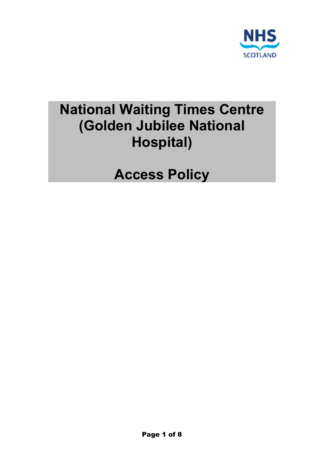

# **National Waiting Times Centre (Golden Jubilee National Hospital)**

**Access Policy**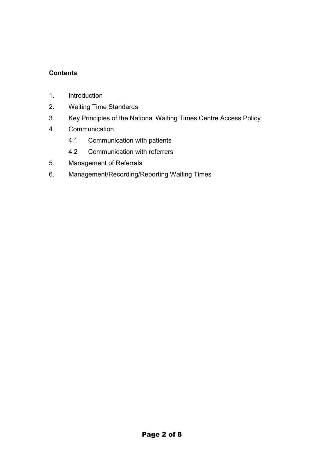# **Contents**

- 1. Introduction
- 2. Waiting Time Standards
- 3. Key Principles of the National Waiting Times Centre Access Policy
- 4. Communication
	- 4.1 Communication with patients
	- 4.2 Communication with referrers
- 5. Management of Referrals
- 6. Management/Recording/Reporting Waiting Times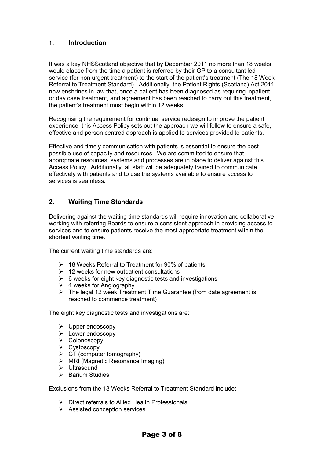## **1. Introduction**

It was a key NHSScotland objective that by December 2011 no more than 18 weeks would elapse from the time a patient is referred by their GP to a consultant led service (for non urgent treatment) to the start of the patient's treatment (The 18 Week Referral to Treatment Standard). Additionally, the Patient Rights (Scotland) Act 2011 now enshrines in law that, once a patient has been diagnosed as requiring inpatient or day case treatment, and agreement has been reached to carry out this treatment, the patient's treatment must begin within 12 weeks.

Recognising the requirement for continual service redesign to improve the patient experience, this Access Policy sets out the approach we will follow to ensure a safe, effective and person centred approach is applied to services provided to patients.

Effective and timely communication with patients is essential to ensure the best possible use of capacity and resources. We are committed to ensure that appropriate resources, systems and processes are in place to deliver against this Access Policy. Additionally, all staff will be adequately trained to communicate effectively with patients and to use the systems available to ensure access to services is seamless.

## **2. Waiting Time Standards**

Delivering against the waiting time standards will require innovation and collaborative working with referring Boards to ensure a consistent approach in providing access to services and to ensure patients receive the most appropriate treatment within the shortest waiting time.

The current waiting time standards are:

- $\geq$  18 Weeks Referral to Treatment for 90% of patients
- $\geq$  12 weeks for new outpatient consultations
- $\geq$  6 weeks for eight key diagnostic tests and investigations
- $\geq 4$  weeks for Angiography
- $\triangleright$  The legal 12 week Treatment Time Guarantee (from date agreement is reached to commence treatment)

The eight key diagnostic tests and investigations are:

- $\triangleright$  Upper endoscopy
- **E** Lower endoscopy
- Colonoscopy
- Cystoscopy
- $\triangleright$  CT (computer tomography)
- MRI (Magnetic Resonance Imaging)
- $\blacktriangleright$  Ultrasound
- $\triangleright$  Barium Studies

Exclusions from the 18 Weeks Referral to Treatment Standard include:

- $\triangleright$  Direct referrals to Allied Health Professionals
- $\triangleright$  Assisted conception services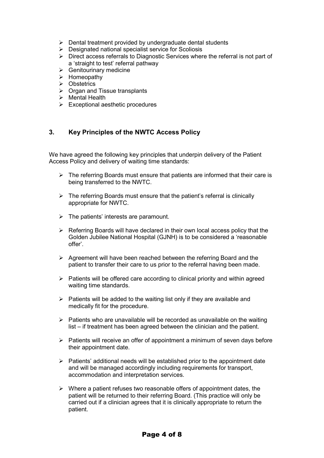- $\triangleright$  Dental treatment provided by undergraduate dental students
- $\triangleright$  Designated national specialist service for Scoliosis
- $\triangleright$  Direct access referrals to Diagnostic Services where the referral is not part of a 'straight to test' referral pathway
- $\triangleright$  Genitourinary medicine
- $\triangleright$  Homeopathy
- **▶ Obstetrics**
- $\triangleright$  Organ and Tissue transplants
- $\triangleright$  Mental Health
- $\triangleright$  Exceptional aesthetic procedures

# **3. Key Principles of the NWTC Access Policy**

We have agreed the following key principles that underpin delivery of the Patient Access Policy and delivery of waiting time standards:

- $\triangleright$  The referring Boards must ensure that patients are informed that their care is being transferred to the NWTC.
- $\triangleright$  The referring Boards must ensure that the patient's referral is clinically appropriate for NWTC.
- $\triangleright$  The patients' interests are paramount.
- $\triangleright$  Referring Boards will have declared in their own local access policy that the Golden Jubilee National Hospital (GJNH) is to be considered a 'reasonable offer'.
- $\triangleright$  Agreement will have been reached between the referring Board and the patient to transfer their care to us prior to the referral having been made.
- $\triangleright$  Patients will be offered care according to clinical priority and within agreed waiting time standards.
- $\triangleright$  Patients will be added to the waiting list only if they are available and medically fit for the procedure.
- $\triangleright$  Patients who are unavailable will be recorded as unavailable on the waiting list – if treatment has been agreed between the clinician and the patient.
- $\triangleright$  Patients will receive an offer of appointment a minimum of seven days before their appointment date.
- $\triangleright$  Patients' additional needs will be established prior to the appointment date and will be managed accordingly including requirements for transport, accommodation and interpretation services.
- $\triangleright$  Where a patient refuses two reasonable offers of appointment dates, the patient will be returned to their referring Board. (This practice will only be carried out if a clinician agrees that it is clinically appropriate to return the patient.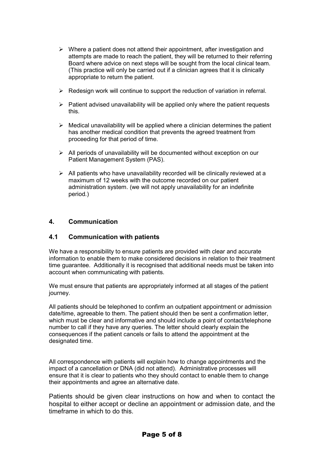- $\triangleright$  Where a patient does not attend their appointment, after investigation and attempts are made to reach the patient, they will be returned to their referring Board where advice on next steps will be sought from the local clinical team. (This practice will only be carried out if a clinician agrees that it is clinically appropriate to return the patient.
- $\triangleright$  Redesign work will continue to support the reduction of variation in referral.
- $\triangleright$  Patient advised unavailability will be applied only where the patient requests this.
- $\triangleright$  Medical unavailability will be applied where a clinician determines the patient has another medical condition that prevents the agreed treatment from proceeding for that period of time.
- $\triangleright$  All periods of unavailability will be documented without exception on our Patient Management System (PAS).
- $\triangleright$  All patients who have unavailability recorded will be clinically reviewed at a maximum of 12 weeks with the outcome recorded on our patient administration system. (we will not apply unavailability for an indefinite period.)

#### **4. Communication**

#### **4.1 Communication with patients**

We have a responsibility to ensure patients are provided with clear and accurate information to enable them to make considered decisions in relation to their treatment time guarantee. Additionally it is recognised that additional needs must be taken into account when communicating with patients.

We must ensure that patients are appropriately informed at all stages of the patient journey.

All patients should be telephoned to confirm an outpatient appointment or admission date/time, agreeable to them. The patient should then be sent a confirmation letter, which must be clear and informative and should include a point of contact/telephone number to call if they have any queries. The letter should clearly explain the consequences if the patient cancels or fails to attend the appointment at the designated time.

All correspondence with patients will explain how to change appointments and the impact of a cancellation or DNA (did not attend). Administrative processes will ensure that it is clear to patients who they should contact to enable them to change their appointments and agree an alternative date.

Patients should be given clear instructions on how and when to contact the hospital to either accept or decline an appointment or admission date, and the timeframe in which to do this.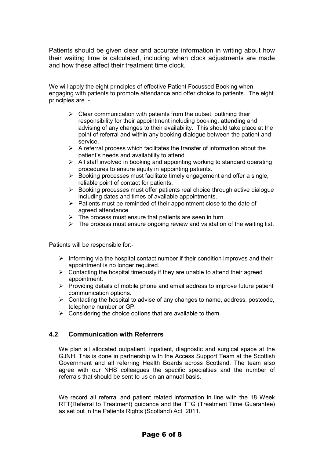Patients should be given clear and accurate information in writing about how their waiting time is calculated, including when clock adjustments are made and how these affect their treatment time clock.

We will apply the eight principles of effective Patient Focussed Booking when engaging with patients to promote attendance and offer choice to patients.. The eight principles are :-

- $\triangleright$  Clear communication with patients from the outset, outlining their responsibility for their appointment including booking, attending and advising of any changes to their availability. This should take place at the point of referral and within any booking dialogue between the patient and service.
- $\triangleright$  A referral process which facilitates the transfer of information about the patient's needs and availability to attend.
- $\triangleright$  All staff involved in booking and appointing working to standard operating procedures to ensure equity in appointing patients.
- $\triangleright$  Booking processes must facilitate timely engagement and offer a single, reliable point of contact for patients.
- $\triangleright$  Booking processes must offer patients real choice through active dialogue including dates and times of available appointments.
- $\triangleright$  Patients must be reminded of their appointment close to the date of agreed attendance.
- $\triangleright$  The process must ensure that patients are seen in turn.
- $\triangleright$  The process must ensure ongoing review and validation of the waiting list.

Patients will be responsible for:-

- $\triangleright$  Informing via the hospital contact number if their condition improves and their appointment is no longer required.
- $\triangleright$  Contacting the hospital timeously if they are unable to attend their agreed appointment.
- $\triangleright$  Providing details of mobile phone and email address to improve future patient communication options.
- $\triangleright$  Contacting the hospital to advise of any changes to name, address, postcode, telephone number or GP.
- $\triangleright$  Considering the choice options that are available to them.

#### **4.2 Communication with Referrers**

We plan all allocated outpatient, inpatient, diagnostic and surgical space at the GJNH. This is done in partnership with the Access Support Team at the Scottish Government and all referring Health Boards across Scotland. The team also agree with our NHS colleagues the specific specialties and the number of referrals that should be sent to us on an annual basis.

We record all referral and patient related information in line with the 18 Week RTT(Referral to Treatment) guidance and the TTG (Treatment Time Guarantee) as set out in the Patients Rights (Scotland) Act 2011.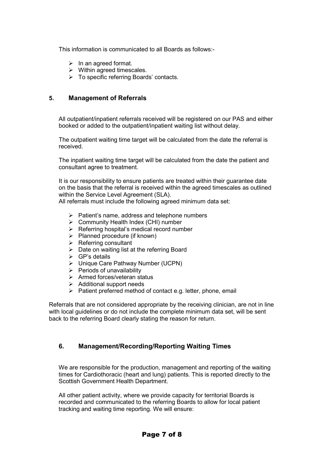This information is communicated to all Boards as follows:-

- $\triangleright$  In an agreed format.
- $\triangleright$  Within agreed timescales.
- To specific referring Boards' contacts.

#### **5. Management of Referrals**

All outpatient/inpatient referrals received will be registered on our PAS and either booked or added to the outpatient/inpatient waiting list without delay.

The outpatient waiting time target will be calculated from the date the referral is received.

The inpatient waiting time target will be calculated from the date the patient and consultant agree to treatment.

It is our responsibility to ensure patients are treated within their guarantee date on the basis that the referral is received within the agreed timescales as outlined within the Service Level Agreement (SLA).

All referrals must include the following agreed minimum data set:

- $\triangleright$  Patient's name, address and telephone numbers
- $\triangleright$  Community Health Index (CHI) number
- $\triangleright$  Referring hospital's medical record number
- $\triangleright$  Planned procedure (if known)
- $\triangleright$  Referring consultant
- $\triangleright$  Date on waiting list at the referring Board
- $\triangleright$  GP's details
- Unique Care Pathway Number (UCPN)
- $\triangleright$  Periods of unavailability
- $\triangleright$  Armed forces/veteran status
- $\triangleright$  Additional support needs
- $\triangleright$  Patient preferred method of contact e.g. letter, phone, email

Referrals that are not considered appropriate by the receiving clinician, are not in line with local guidelines or do not include the complete minimum data set, will be sent back to the referring Board clearly stating the reason for return.

#### **6. Management/Recording/Reporting Waiting Times**

We are responsible for the production, management and reporting of the waiting times for Cardiothoracic (heart and lung) patients. This is reported directly to the Scottish Government Health Department.

All other patient activity, where we provide capacity for territorial Boards is recorded and communicated to the referring Boards to allow for local patient tracking and waiting time reporting. We will ensure: